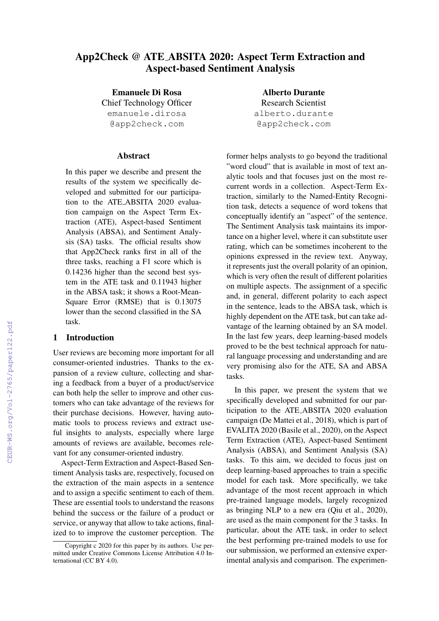# App2Check @ ATE ABSITA 2020: Aspect Term Extraction and Aspect-based Sentiment Analysis

Emanuele Di Rosa

Chief Technology Officer emanuele.dirosa @app2check.com

#### **Abstract**

In this paper we describe and present the results of the system we specifically developed and submitted for our participation to the ATE ABSITA 2020 evaluation campaign on the Aspect Term Extraction (ATE), Aspect-based Sentiment Analysis (ABSA), and Sentiment Analysis (SA) tasks. The official results show that App2Check ranks first in all of the three tasks, reaching a F1 score which is 0.14236 higher than the second best system in the ATE task and 0.11943 higher in the ABSA task; it shows a Root-Mean-Square Error (RMSE) that is 0.13075 lower than the second classified in the SA task.

## 1 Introduction

User reviews are becoming more important for all consumer-oriented industries. Thanks to the expansion of a review culture, collecting and sharing a feedback from a buyer of a product/service can both help the seller to improve and other customers who can take advantage of the reviews for their purchase decisions. However, having automatic tools to process reviews and extract useful insights to analysts, especially where large amounts of reviews are available, becomes relevant for any consumer-oriented industry.

Aspect-Term Extraction and Aspect-Based Sentiment Analysis tasks are, respectively, focused on the extraction of the main aspects in a sentence and to assign a specific sentiment to each of them. These are essential tools to understand the reasons behind the success or the failure of a product or service, or anyway that allow to take actions, finalized to to improve the customer perception. The

Alberto Durante Research Scientist alberto.durante @app2check.com

former helps analysts to go beyond the traditional "word cloud" that is available in most of text analytic tools and that focuses just on the most recurrent words in a collection. Aspect-Term Extraction, similarly to the Named-Entity Recognition task, detects a sequence of word tokens that conceptually identify an "aspect" of the sentence. The Sentiment Analysis task maintains its importance on a higher level, where it can substitute user rating, which can be sometimes incoherent to the opinions expressed in the review text. Anyway, it represents just the overall polarity of an opinion, which is very often the result of different polarities on multiple aspects. The assignment of a specific and, in general, different polarity to each aspect in the sentence, leads to the ABSA task, which is highly dependent on the ATE task, but can take advantage of the learning obtained by an SA model. In the last few years, deep learning-based models proved to be the best technical approach for natural language processing and understanding and are very promising also for the ATE, SA and ABSA tasks.

In this paper, we present the system that we specifically developed and submitted for our participation to the ATE ABSITA 2020 evaluation campaign (De Mattei et al., 2018), which is part of EVALITA 2020 (Basile et al., 2020), on the Aspect Term Extraction (ATE), Aspect-based Sentiment Analysis (ABSA), and Sentiment Analysis (SA) tasks. To this aim, we decided to focus just on deep learning-based approaches to train a specific model for each task. More specifically, we take advantage of the most recent approach in which pre-trained language models, largely recognized as bringing NLP to a new era (Qiu et al., 2020), are used as the main component for the 3 tasks. In particular, about the ATE task, in order to select the best performing pre-trained models to use for our submission, we performed an extensive experimental analysis and comparison. The experimen-

Copyright c 2020 for this paper by its authors. Use permitted under Creative Commons License Attribution 4.0 International (CC BY 4.0).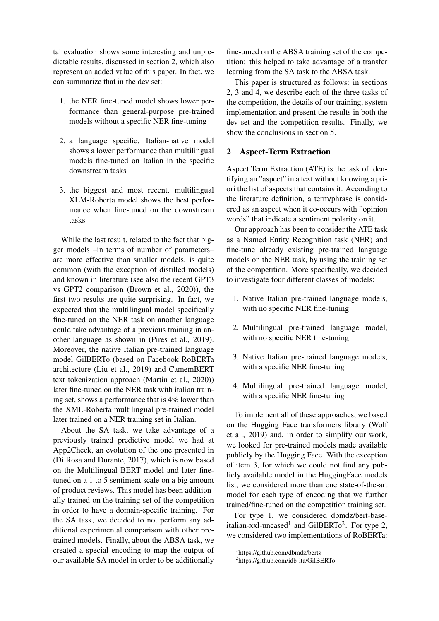tal evaluation shows some interesting and unpredictable results, discussed in section 2, which also represent an added value of this paper. In fact, we can summarize that in the dev set:

- 1. the NER fine-tuned model shows lower performance than general-purpose pre-trained models without a specific NER fine-tuning
- 2. a language specific, Italian-native model shows a lower performance than multilingual models fine-tuned on Italian in the specific downstream tasks
- 3. the biggest and most recent, multilingual XLM-Roberta model shows the best performance when fine-tuned on the downstream tasks

While the last result, related to the fact that bigger models –in terms of number of parameters– are more effective than smaller models, is quite common (with the exception of distilled models) and known in literature (see also the recent GPT3 vs GPT2 comparison (Brown et al., 2020)), the first two results are quite surprising. In fact, we expected that the multilingual model specifically fine-tuned on the NER task on another language could take advantage of a previous training in another language as shown in (Pires et al., 2019). Moreover, the native Italian pre-trained language model GilBERTo (based on Facebook RoBERTa architecture (Liu et al., 2019) and CamemBERT text tokenization approach (Martin et al., 2020)) later fine-tuned on the NER task with italian training set, shows a performance that is 4% lower than the XML-Roberta multilingual pre-trained model later trained on a NER training set in Italian.

About the SA task, we take advantage of a previously trained predictive model we had at App2Check, an evolution of the one presented in (Di Rosa and Durante, 2017), which is now based on the Multilingual BERT model and later finetuned on a 1 to 5 sentiment scale on a big amount of product reviews. This model has been additionally trained on the training set of the competition in order to have a domain-specific training. For the SA task, we decided to not perform any additional experimental comparison with other pretrained models. Finally, about the ABSA task, we created a special encoding to map the output of our available SA model in order to be additionally fine-tuned on the ABSA training set of the competition: this helped to take advantage of a transfer learning from the SA task to the ABSA task.

This paper is structured as follows: in sections 2, 3 and 4, we describe each of the three tasks of the competition, the details of our training, system implementation and present the results in both the dev set and the competition results. Finally, we show the conclusions in section 5.

#### 2 Aspect-Term Extraction

Aspect Term Extraction (ATE) is the task of identifying an "aspect" in a text without knowing a priori the list of aspects that contains it. According to the literature definition, a term/phrase is considered as an aspect when it co-occurs with "opinion words" that indicate a sentiment polarity on it.

Our approach has been to consider the ATE task as a Named Entity Recognition task (NER) and fine-tune already existing pre-trained language models on the NER task, by using the training set of the competition. More specifically, we decided to investigate four different classes of models:

- 1. Native Italian pre-trained language models, with no specific NER fine-tuning
- 2. Multilingual pre-trained language model, with no specific NER fine-tuning
- 3. Native Italian pre-trained language models, with a specific NER fine-tuning
- 4. Multilingual pre-trained language model, with a specific NER fine-tuning

To implement all of these approaches, we based on the Hugging Face transformers library (Wolf et al., 2019) and, in order to simplify our work, we looked for pre-trained models made available publicly by the Hugging Face. With the exception of item 3, for which we could not find any publicly available model in the HuggingFace models list, we considered more than one state-of-the-art model for each type of encoding that we further trained/fine-tuned on the competition training set.

For type 1, we considered dbmdz/bert-baseitalian-xxl-uncased<sup>1</sup> and GilBERTo<sup>2</sup>. For type 2, we considered two implementations of RoBERTa:

<sup>1</sup> https://github.com/dbmdz/berts

<sup>2</sup> https://github.com/idb-ita/GilBERTo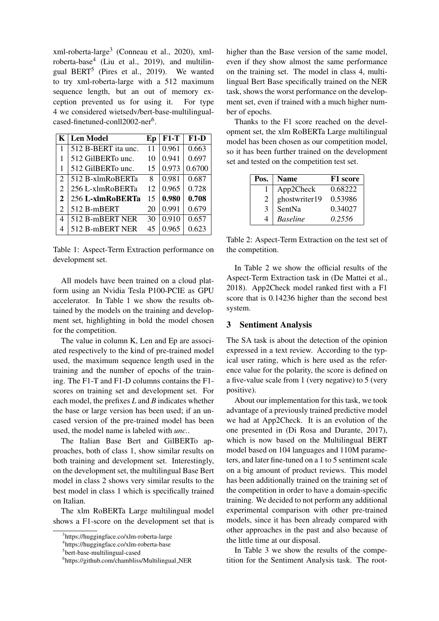xml-roberta-large<sup>3</sup> (Conneau et al., 2020), xmlroberta-base<sup>4</sup> (Liu et al., 2019), and multilingual BERT<sup>5</sup> (Pires et al., 2019). We wanted to try xml-roberta-large with a 512 maximum sequence length, but an out of memory exception prevented us for using it. For type 4 we considered wietsedv/bert-base-multilingualcased-finetuned-conll2002-ner<sup>6</sup>.

|   | $K$ Len Model       | Ep | $F1-T$ | $F1-D$ |
|---|---------------------|----|--------|--------|
|   | 512 B-BERT ita unc. | 11 | 0.961  | 0.663  |
|   | 512 GilBERTo unc.   | 10 | 0.941  | 0.697  |
|   | 512 GilBERTo unc.   | 15 | 0.973  | 0.6700 |
| 2 | 512 B-xlmRoBERTa    | 8  | 0.981  | 0.687  |
| 2 | 256 L-xlmRoBERTa    | 12 | 0.965  | 0.728  |
| 2 | 256 L-xlmRoBERTa    | 15 | 0.980  | 0.708  |
| 2 | 512 B-mBERT         | 20 | 0.991  | 0.679  |
| 4 | 512 B-mBERT NER     | 30 | 0.910  | 0.657  |
| 4 | 512 B-mBERT NER     | 45 | 0.965  | 0.623  |

Table 1: Aspect-Term Extraction performance on development set.

All models have been trained on a cloud platform using an Nvidia Tesla P100-PCIE as GPU accelerator. In Table 1 we show the results obtained by the models on the training and development set, highlighting in bold the model chosen for the competition.

The value in column K, Len and Ep are associated respectively to the kind of pre-trained model used, the maximum sequence length used in the training and the number of epochs of the training. The F1-T and F1-D columns contains the F1 scores on training set and development set. For each model, the prefixes *L* and *B* indicates whether the base or large version has been used; if an uncased version of the pre-trained model has been used, the model name is labeled with *unc.*.

The Italian Base Bert and GilBERTo approaches, both of class 1, show similar results on both training and development set. Interestingly, on the development set, the multilingual Base Bert model in class 2 shows very similar results to the best model in class 1 which is specifically trained on Italian.

The xlm RoBERTa Large multilingual model shows a F1-score on the development set that is higher than the Base version of the same model, even if they show almost the same performance on the training set. The model in class 4, multilingual Bert Base specifically trained on the NER task, shows the worst performance on the development set, even if trained with a much higher number of epochs.

Thanks to the F1 score reached on the development set, the xlm RoBERTa Large multilingual model has been chosen as our competition model, so it has been further trained on the development set and tested on the competition test set.

| Pos. | <b>Name</b>     | F1 score |
|------|-----------------|----------|
|      | App2Check       | 0.68222  |
| 2    | ghostwriter19   | 0.53986  |
| 3    | SentNa          | 0.34027  |
|      | <b>Baseline</b> | 0.2556   |

Table 2: Aspect-Term Extraction on the test set of the competition.

In Table 2 we show the official results of the Aspect-Term Extraction task in (De Mattei et al., 2018). App2Check model ranked first with a F1 score that is 0.14236 higher than the second best system.

#### 3 Sentiment Analysis

The SA task is about the detection of the opinion expressed in a text review. According to the typical user rating, which is here used as the reference value for the polarity, the score is defined on a five-value scale from 1 (very negative) to 5 (very positive).

About our implementation for this task, we took advantage of a previously trained predictive model we had at App2Check. It is an evolution of the one presented in (Di Rosa and Durante, 2017), which is now based on the Multilingual BERT model based on 104 languages and 110M parameters, and later fine-tuned on a 1 to 5 sentiment scale on a big amount of product reviews. This model has been additionally trained on the training set of the competition in order to have a domain-specific training. We decided to not perform any additional experimental comparison with other pre-trained models, since it has been already compared with other approaches in the past and also because of the little time at our disposal.

In Table 3 we show the results of the competition for the Sentiment Analysis task. The root-

<sup>3</sup> https://huggingface.co/xlm-roberta-large

<sup>4</sup> https://huggingface.co/xlm-roberta-base

<sup>5</sup> bert-base-multilingual-cased

<sup>6</sup> https://github.com/chambliss/Multilingual NER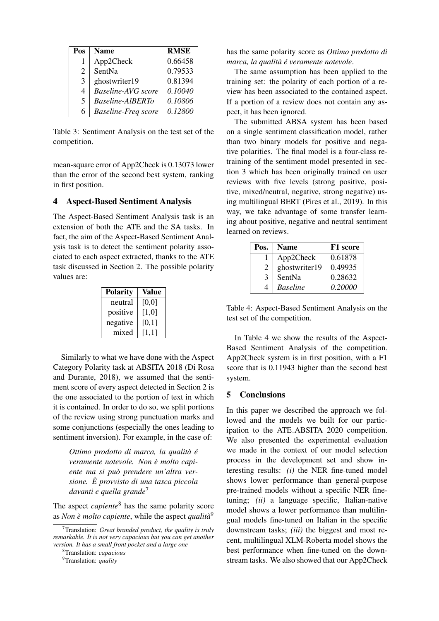| Pos | <b>Name</b>                | <b>RMSE</b> |
|-----|----------------------------|-------------|
|     | App2Check                  | 0.66458     |
| 2   | SentNa                     | 0.79533     |
| 3   | ghostwriter19              | 0.81394     |
| 4   | <b>Baseline-AVG</b> score  | 0.10040     |
| 5   | Baseline-AlBERTo           | 0.10806     |
| 6   | <b>Baseline-Freq score</b> | 0.12800     |

Table 3: Sentiment Analysis on the test set of the competition.

mean-square error of App2Check is 0.13073 lower than the error of the second best system, ranking in first position.

#### 4 Aspect-Based Sentiment Analysis

The Aspect-Based Sentiment Analysis task is an extension of both the ATE and the SA tasks. In fact, the aim of the Aspect-Based Sentiment Analysis task is to detect the sentiment polarity associated to each aspect extracted, thanks to the ATE task discussed in Section 2. The possible polarity values are:

| <b>Polarity</b> | Value |
|-----------------|-------|
| neutral         | [0,0] |
| positive        | [1,0] |
| negative        | [0,1] |
| mixed           | [1,1] |

Similarly to what we have done with the Aspect Category Polarity task at ABSITA 2018 (Di Rosa and Durante, 2018), we assumed that the sentiment score of every aspect detected in Section 2 is the one associated to the portion of text in which it is contained. In order to do so, we split portions of the review using strong punctuation marks and some conjunctions (especially the ones leading to sentiment inversion). For example, in the case of:

*Ottimo prodotto di marca, la qualita` e´ veramente notevole. Non e molto capi- ` ente ma si puo prendere un'altra ver- ` sione. E provvisto di una tasca piccola ` davanti e quella grande*<sup>7</sup>

The aspect *capiente*<sup>8</sup> has the same polarity score as *Non è molto capiente*, while the aspect *qualità*<sup>9</sup>

has the same polarity score as *Ottimo prodotto di marca, la qualita` e veramente notevole ´* .

The same assumption has been applied to the training set: the polarity of each portion of a review has been associated to the contained aspect. If a portion of a review does not contain any aspect, it has been ignored.

The submitted ABSA system has been based on a single sentiment classification model, rather than two binary models for positive and negative polarities. The final model is a four-class retraining of the sentiment model presented in section 3 which has been originally trained on user reviews with five levels (strong positive, positive, mixed/neutral, negative, strong negative) using multilingual BERT (Pires et al., 2019). In this way, we take advantage of some transfer learning about positive, negative and neutral sentiment learned on reviews.

| Pos. | <b>Name</b>     | F1 score |
|------|-----------------|----------|
|      | App2Check       | 0.61878  |
| 2    | ghostwriter19   | 0.49935  |
| 3    | SentNa          | 0.28632  |
| 4    | <b>Baseline</b> | 0.20000  |

Table 4: Aspect-Based Sentiment Analysis on the test set of the competition.

In Table 4 we show the results of the Aspect-Based Sentiment Analysis of the competition. App2Check system is in first position, with a F1 score that is 0.11943 higher than the second best system.

#### 5 Conclusions

In this paper we described the approach we followed and the models we built for our participation to the ATE ABSITA 2020 competition. We also presented the experimental evaluation we made in the context of our model selection process in the development set and show interesting results: *(i)* the NER fine-tuned model shows lower performance than general-purpose pre-trained models without a specific NER finetuning; *(ii)* a language specific, Italian-native model shows a lower performance than multilingual models fine-tuned on Italian in the specific downstream tasks; *(iii)* the biggest and most recent, multilingual XLM-Roberta model shows the best performance when fine-tuned on the downstream tasks. We also showed that our App2Check

<sup>7</sup>Translation: *Great branded product, the quality is truly remarkable. It is not very capacious but you can get another version. It has a small front pocket and a large one*

<sup>8</sup>Translation: *capacious*

<sup>9</sup>Translation: *quality*